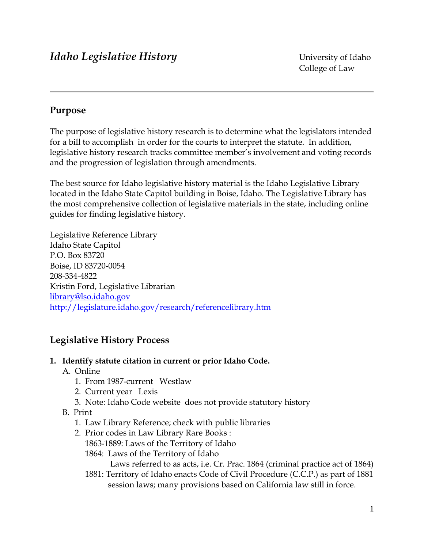## **Purpose**

The purpose of legislative history research is to determine what the legislators intended for a bill to accomplish in order for the courts to interpret the statute. In addition, legislative history research tracks committee member's involvement and voting records and the progression of legislation through amendments.

The best source for Idaho legislative history material is the Idaho Legislative Library located in the Idaho State Capitol building in Boise, Idaho. The Legislative Library has the most comprehensive collection of legislative materials in the state, including online guides for finding legislative history.

Legislative Reference Library Idaho State Capitol P.O. Box 83720 Boise, ID 83720-0054 208-334-4822 Kristin Ford, Legislative Librarian [library@lso.idaho.gov](mailto:library@lso.idaho.gov) <http://legislature.idaho.gov/research/referencelibrary.htm>

# **Legislative History Process**

## **1. Identify statute citation in current or prior Idaho Code.**

- A. Online
	- 1. From 1987-current Westlaw
	- 2. Current year Lexis
	- 3. Note: Idaho Code website does not provide statutory history
- B. Print
	- 1. Law Library Reference; check with public libraries
	- 2. Prior codes in Law Library Rare Books :
		- 1863-1889: Laws of the Territory of Idaho
		- 1864: Laws of the Territory of Idaho

Laws referred to as acts, i.e. Cr. Prac. 1864 (criminal practice act of 1864)

 1881: Territory of Idaho enacts Code of Civil Procedure (C.C.P.) as part of 1881 session laws; many provisions based on California law still in force.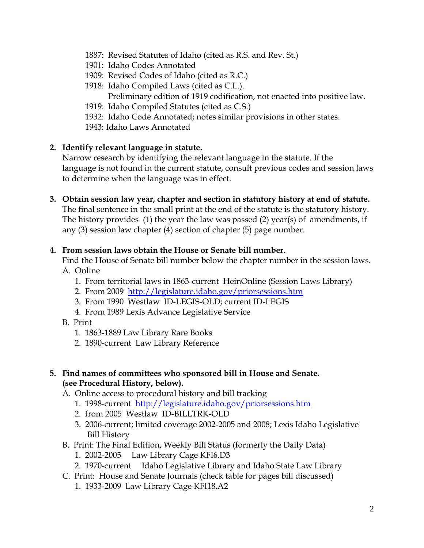- 1887: Revised Statutes of Idaho (cited as R.S. and Rev. St.)
- 1901: Idaho Codes Annotated
- 1909: Revised Codes of Idaho (cited as R.C.)
- 1918: Idaho Compiled Laws (cited as C.L.).
	- Preliminary edition of 1919 codification, not enacted into positive law.
- 1919: Idaho Compiled Statutes (cited as C.S.)
- 1932: Idaho Code Annotated; notes similar provisions in other states.
- 1943: Idaho Laws Annotated

#### **2. Identify relevant language in statute.**

 Narrow research by identifying the relevant language in the statute. If the language is not found in the current statute, consult previous codes and session laws to determine when the language was in effect.

**3. Obtain session law year, chapter and section in statutory history at end of statute.**  The final sentence in the small print at the end of the statute is the statutory history. The history provides (1) the year the law was passed (2) year(s) of amendments, if any (3) session law chapter (4) section of chapter (5) page number.

#### **4. From session laws obtain the House or Senate bill number.**

 Find the House of Senate bill number below the chapter number in the session laws. A. Online

- 1. From territorial laws in 1863-current HeinOnline (Session Laws Library)
- 2. From 2009 <http://legislature.idaho.gov/priorsessions.htm>
- 3. From 1990 Westlaw ID-LEGIS-OLD; current ID-LEGIS
- 4. From 1989 Lexis Advance Legislative Service
- B. Print
	- 1. 1863-1889 Law Library Rare Books
	- 2. 1890-current Law Library Reference

#### **5. Find names of committees who sponsored bill in House and Senate. (see Procedural History, below).**

- A. Online access to procedural history and bill tracking
	- 1. 1998-current <http://legislature.idaho.gov/priorsessions.htm>
	- 2. from 2005 Westlaw ID-BILLTRK-OLD
	- 3. 2006-current; limited coverage 2002-2005 and 2008; Lexis Idaho Legislative Bill History
- B. Print: The Final Edition, Weekly Bill Status (formerly the Daily Data)
	- 1. 2002-2005 Law Library Cage KFI6.D3
	- 2. 1970-current Idaho Legislative Library and Idaho State Law Library
- C. Print: House and Senate Journals (check table for pages bill discussed)
	- 1. 1933-2009 Law Library Cage KFI18.A2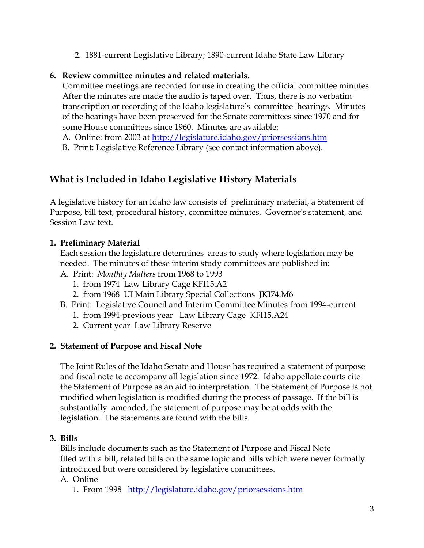2. 1881-current Legislative Library; 1890-current Idaho State Law Library

#### **6. Review committee minutes and related materials.**

 Committee meetings are recorded for use in creating the official committee minutes. After the minutes are made the audio is taped over. Thus, there is no verbatim transcription or recording of the Idaho legislature's committee hearings. Minutes of the hearings have been preserved for the Senate committees since 1970 and for some House committees since 1960. Minutes are available:

A. Online: from 2003 at<http://legislature.idaho.gov/priorsessions.htm>

B. Print: Legislative Reference Library (see contact information above).

## **What is Included in Idaho Legislative History Materials**

A legislative history for an Idaho law consists of preliminary material, a Statement of Purpose, bill text, procedural history, committee minutes, Governor's statement, and Session Law text.

### **1. Preliminary Material**

 Each session the legislature determines areas to study where legislation may be needed. The minutes of these interim study committees are published in:

- A. Print: *Monthly Matters* from 1968 to 1993
	- 1. from 1974 Law Library Cage KFI15.A2
	- 2. from 1968 UI Main Library Special Collections JKI74.M6
- B. Print: Legislative Council and Interim Committee Minutes from 1994-current
	- 1. from 1994-previous year Law Library Cage KFI15.A24
	- 2. Current year Law Library Reserve

## **2. Statement of Purpose and Fiscal Note**

 The Joint Rules of the Idaho Senate and House has required a statement of purpose and fiscal note to accompany all legislation since 1972. Idaho appellate courts cite the Statement of Purpose as an aid to interpretation. The Statement of Purpose is not modified when legislation is modified during the process of passage. If the bill is substantially amended, the statement of purpose may be at odds with the legislation. The statements are found with the bills.

#### **3. Bills**

 Bills include documents such as the Statement of Purpose and Fiscal Note filed with a bill, related bills on the same topic and bills which were never formally introduced but were considered by legislative committees.

A. Online

1. From 1998 <http://legislature.idaho.gov/priorsessions.htm>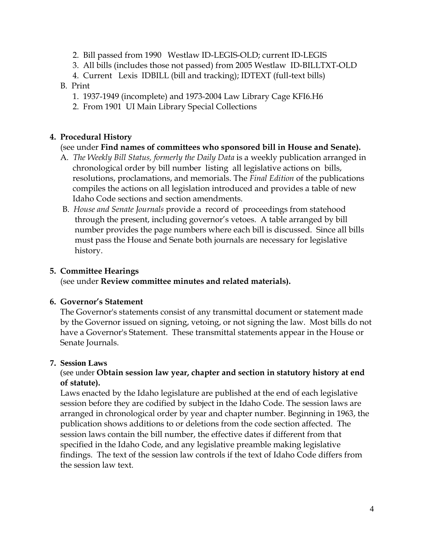- 2. Bill passed from 1990 Westlaw ID-LEGIS-OLD; current ID-LEGIS
- 3. All bills (includes those not passed) from 2005 Westlaw ID-BILLTXT-OLD
- 4. Current Lexis IDBILL (bill and tracking); IDTEXT (full-text bills)

#### B. Print

- 1. 1937-1949 (incomplete) and 1973-2004 Law Library Cage KFI6.H6
- 2. From 1901 UI Main Library Special Collections

## **4. Procedural History**

#### (see under **Find names of committees who sponsored bill in House and Senate).**

- A*. The Weekly Bill Status, formerly the Daily Data* is a weekly publication arranged in chronological order by bill number listing all legislative actions on bills, resolutions, proclamations, and memorials. The *Final Edition* of the publications compiles the actions on all legislation introduced and provides a table of new Idaho Code sections and section amendments.
- B. *House and Senate Journals* provide a record of proceedings from statehood through the present, including governor's vetoes. A table arranged by bill number provides the page numbers where each bill is discussed. Since all bills must pass the House and Senate both journals are necessary for legislative history.

## **5. Committee Hearings**

(see under **Review committee minutes and related materials).**

#### **6. Governor's Statement**

 The Governor's statements consist of any transmittal document or statement made by the Governor issued on signing, vetoing, or not signing the law. Most bills do not have a Governor's Statement. These transmittal statements appear in the House or Senate Journals.

#### **7. Session Laws**

#### (see under **Obtain session law year, chapter and section in statutory history at end of statute).**

 Laws enacted by the Idaho legislature are published at the end of each legislative session before they are codified by subject in the Idaho Code. The session laws are arranged in chronological order by year and chapter number. Beginning in 1963, the publication shows additions to or deletions from the code section affected. The session laws contain the bill number, the effective dates if different from that specified in the Idaho Code, and any legislative preamble making legislative findings. The text of the session law controls if the text of Idaho Code differs from the session law text.